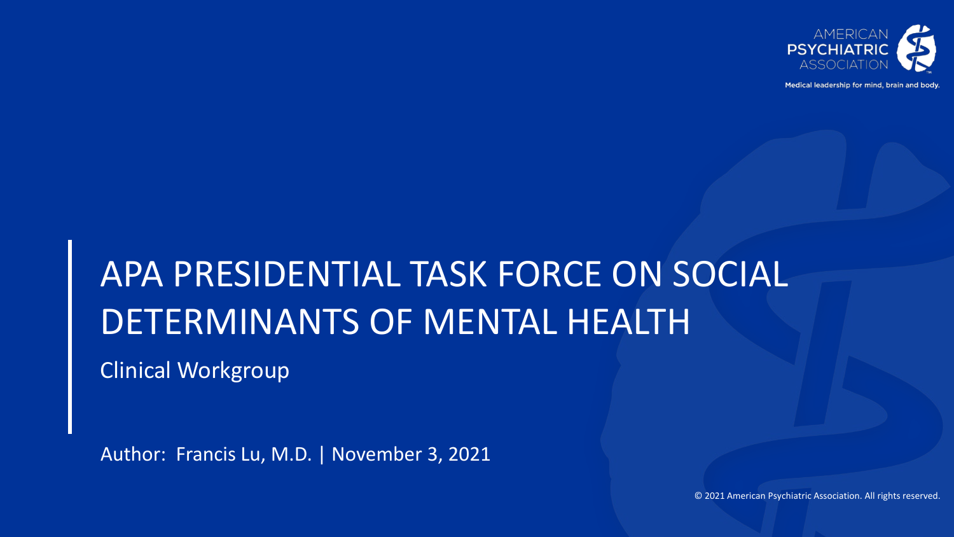

Medical leadership for mind, brain and body

# APA PRESIDENTIAL TASK FORCE ON SOCIAL DETERMINANTS OF MENTAL HEALTH

Clinical Workgroup

Author: Francis Lu, M.D. | November 3, 2021

© 2021 American Psychiatric Association. All rights reserved.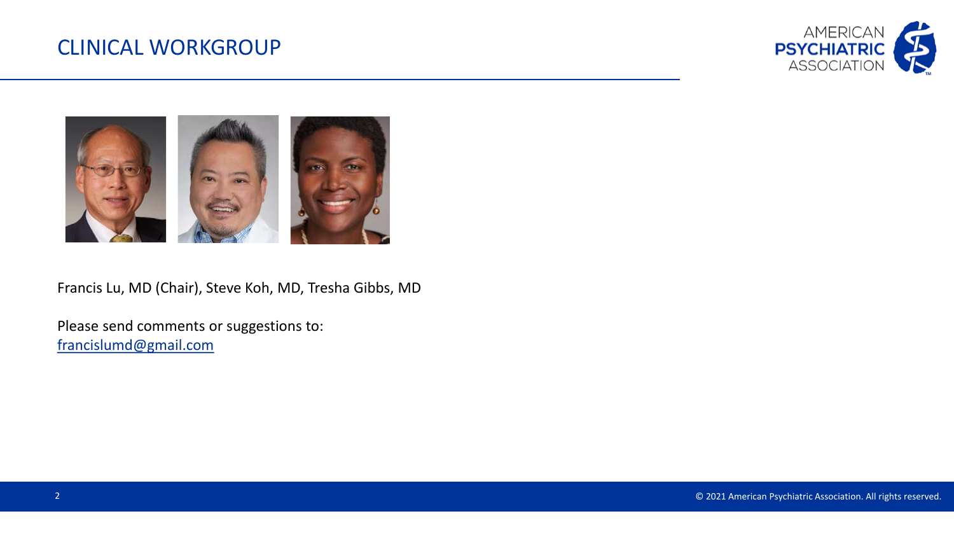#### CLINICAL WORKGROUP





Francis Lu, MD (Chair), Steve Koh, MD, Tresha Gibbs, MD

Please send comments or suggestions to: [francislumd@gmail.com](mailto:francislumd@gmail.com)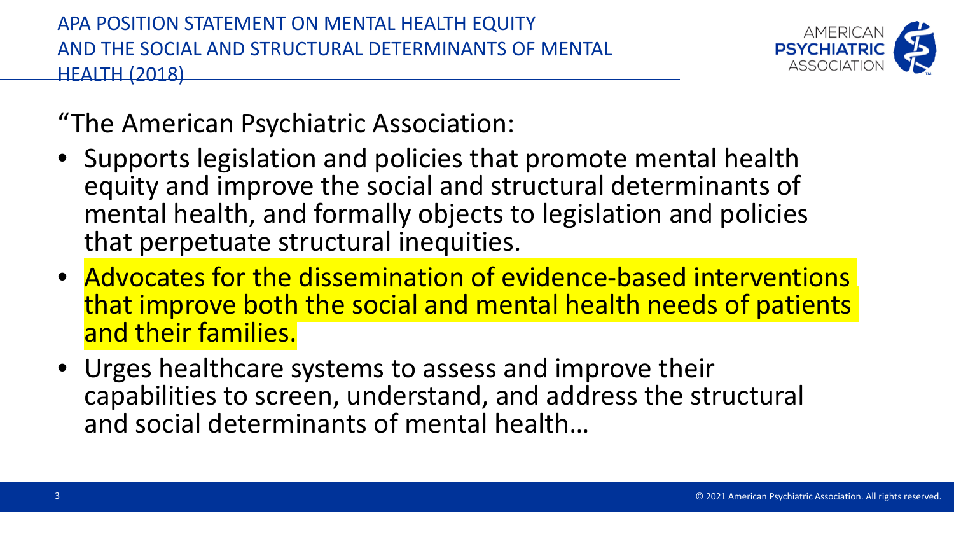

"The American Psychiatric Association:

- Supports legislation and policies that promote mental health equity and improve the social and structural determinants of mental health, and formally objects to legislation and policies that perpetuate structural inequities.
- Advocates for the dissemination of evidence-based interventions that improve both the social and mental health needs of patients and their families.
- Urges healthcare systems to assess and improve their capabilities to screen, understand, and address the structural and social determinants of mental health…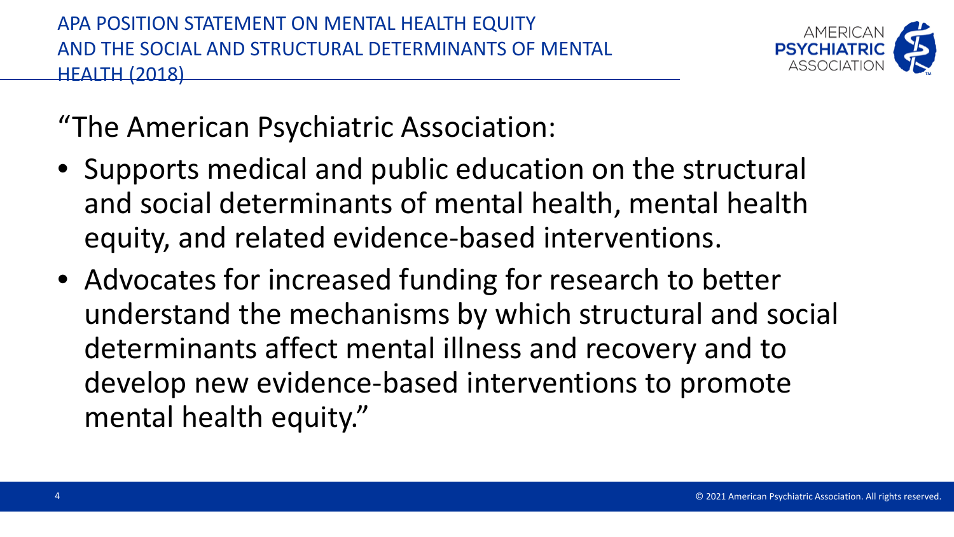

"The American Psychiatric Association:

- Supports medical and public education on the structural and social determinants of mental health, mental health equity, and related evidence-based interventions.
- Advocates for increased funding for research to better understand the mechanisms by which structural and social determinants affect mental illness and recovery and to develop new evidence-based interventions to promote mental health equity."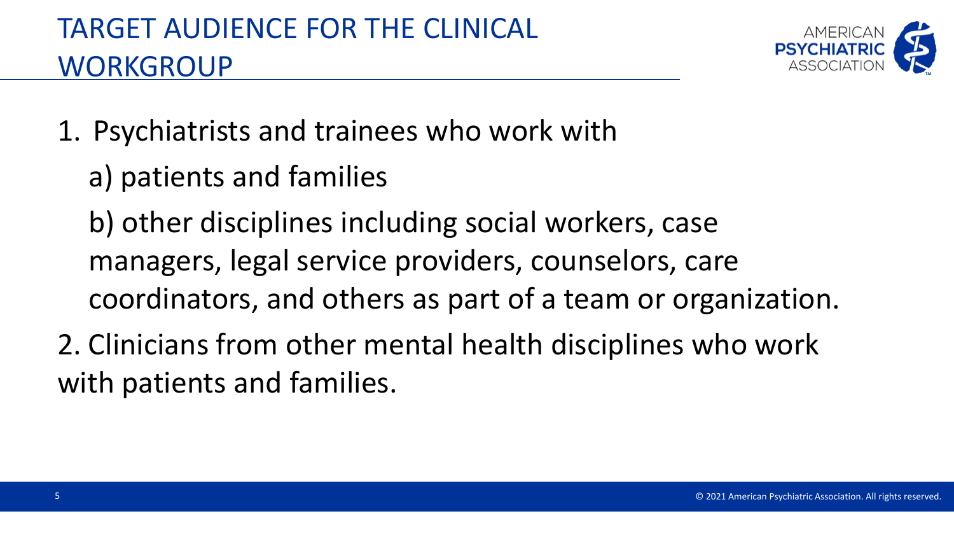

- 1. Psychiatrists and trainees who work with
	- a) patients and families
	- b) other disciplines including social workers, case managers, legal service providers, counselors, care coordinators, and others as part of a team or organization.
- 2. Clinicians from other mental health disciplines who work with patients and families.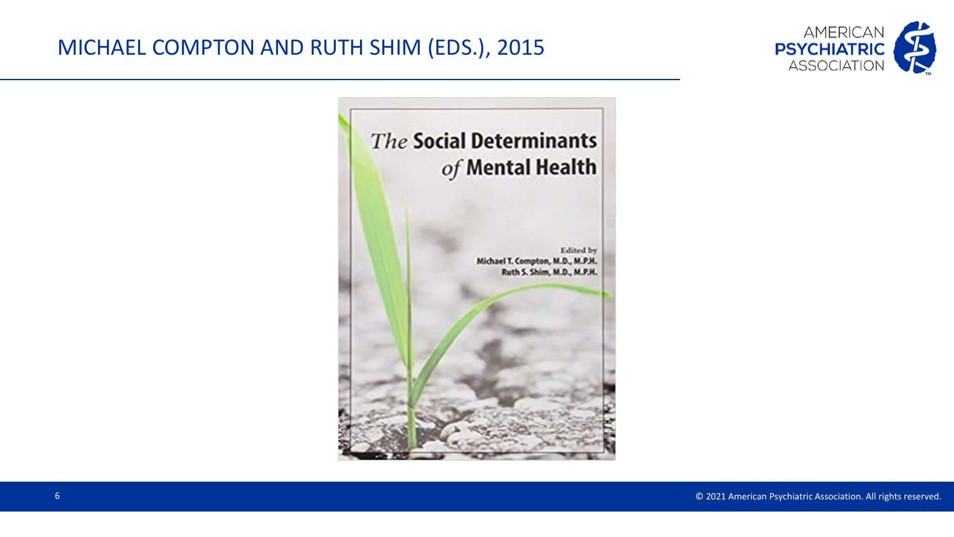### MICHAEL COMPTON AND RUTH SHIM (EDS.), 2015



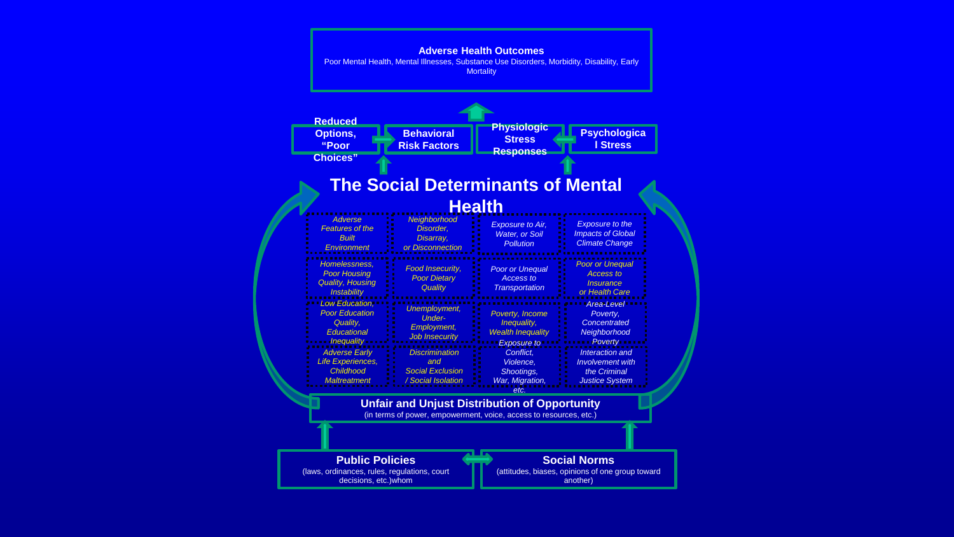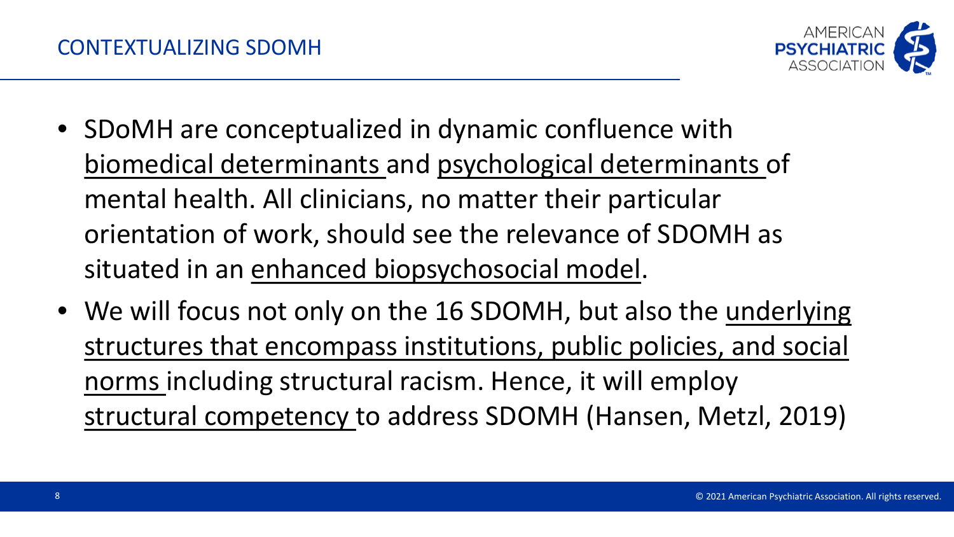

- SDoMH are conceptualized in dynamic confluence with biomedical determinants and psychological determinants of mental health. All clinicians, no matter their particular orientation of work, should see the relevance of SDOMH as situated in an enhanced biopsychosocial model.
- We will focus not only on the 16 SDOMH, but also the underlying structures that encompass institutions, public policies, and social norms including structural racism. Hence, it will employ structural competency to address SDOMH (Hansen, Metzl, 2019)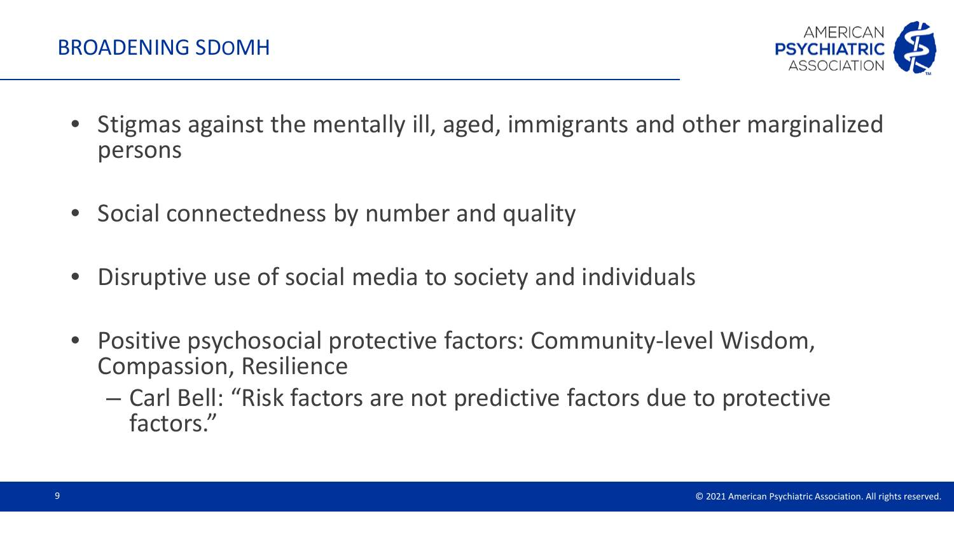

- Stigmas against the mentally ill, aged, immigrants and other marginalized persons
- Social connectedness by number and quality
- Disruptive use of social media to society and individuals
- Positive psychosocial protective factors: Community-level Wisdom, Compassion, Resilience
	- Carl Bell: "Risk factors are not predictive factors due to protective factors."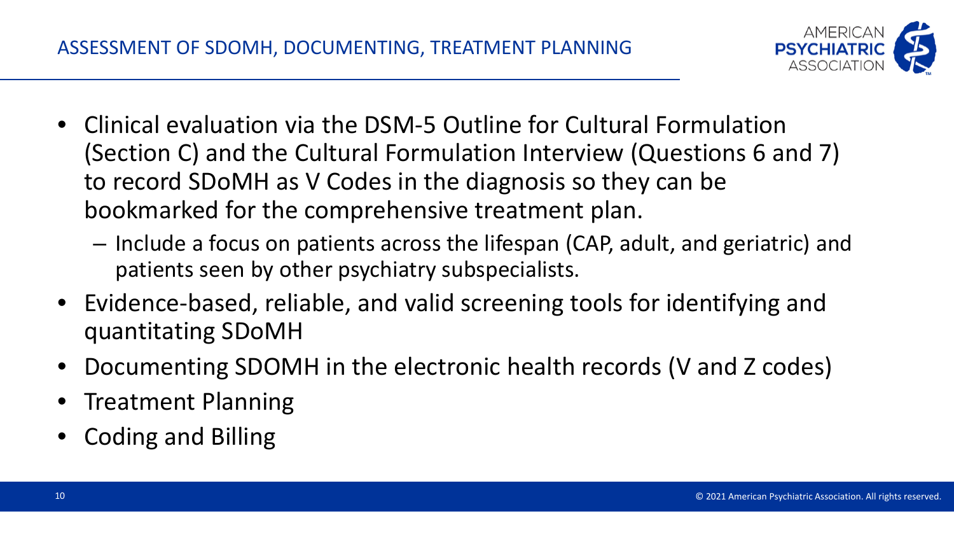

- Clinical evaluation via the DSM-5 Outline for Cultural Formulation (Section C) and the Cultural Formulation Interview (Questions 6 and 7) to record SDoMH as V Codes in the diagnosis so they can be bookmarked for the comprehensive treatment plan.
	- Include a focus on patients across the lifespan (CAP, adult, and geriatric) and patients seen by other psychiatry subspecialists.
- Evidence-based, reliable, and valid screening tools for identifying and quantitating SDoMH
- Documenting SDOMH in the electronic health records (V and Z codes)
- Treatment Planning
- Coding and Billing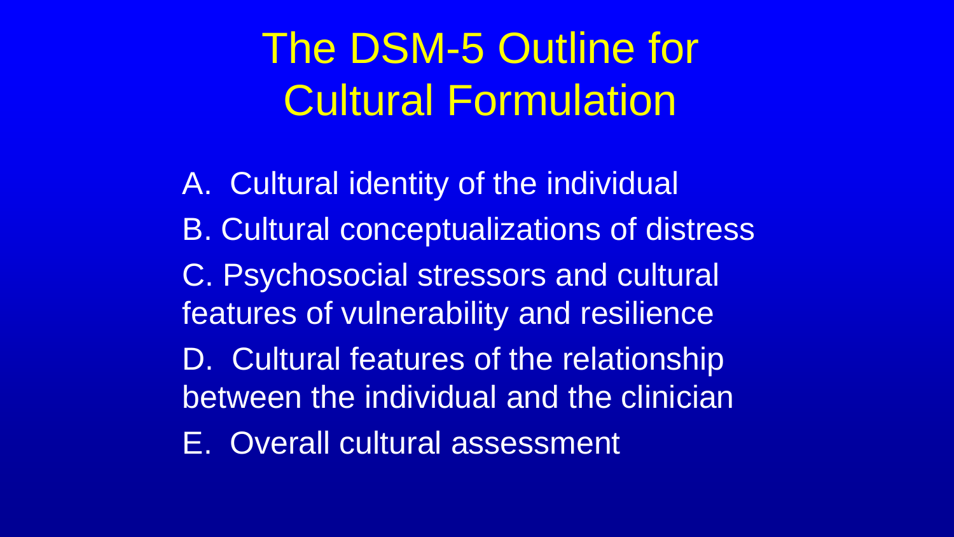# The DSM-5 Outline for Cultural Formulation

A. Cultural identity of the individual B. Cultural conceptualizations of distress C. Psychosocial stressors and cultural features of vulnerability and resilience D. Cultural features of the relationship between the individual and the clinician E. Overall cultural assessment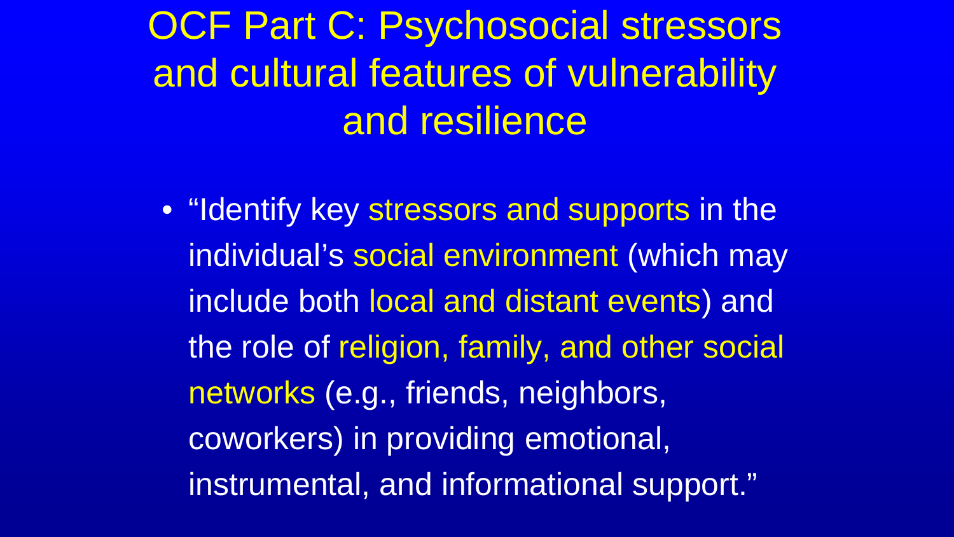OCF Part C: Psychosocial stressors and cultural features of vulnerability and resilience

• "Identify key stressors and supports in the individual's social environment (which may include both local and distant events) and the role of religion, family, and other social networks (e.g., friends, neighbors, coworkers) in providing emotional, instrumental, and informational support."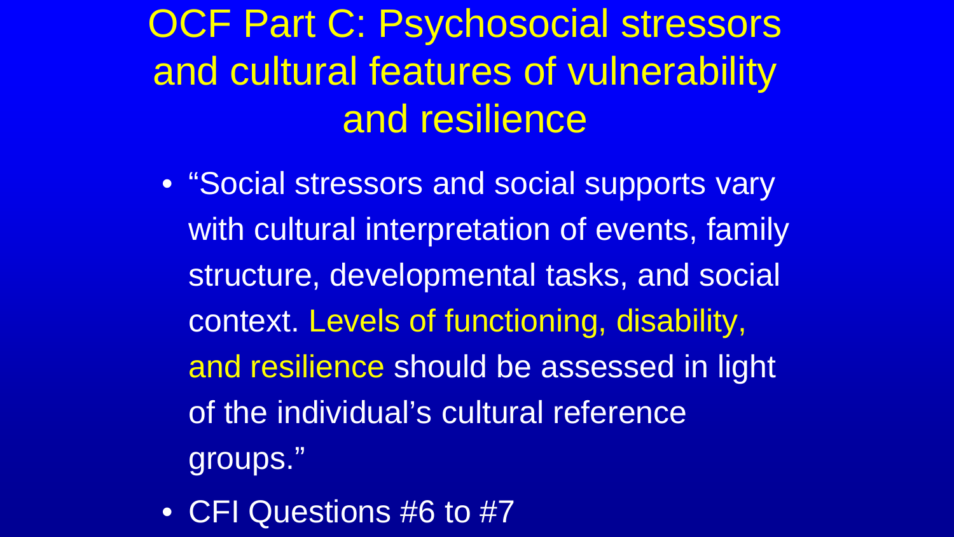# OCF Part C: Psychosocial stressors and cultural features of vulnerability and resilience

- "Social stressors and social supports vary with cultural interpretation of events, family structure, developmental tasks, and social context. Levels of functioning, disability, and resilience should be assessed in light of the individual's cultural reference groups."
- CFI Questions #6 to #7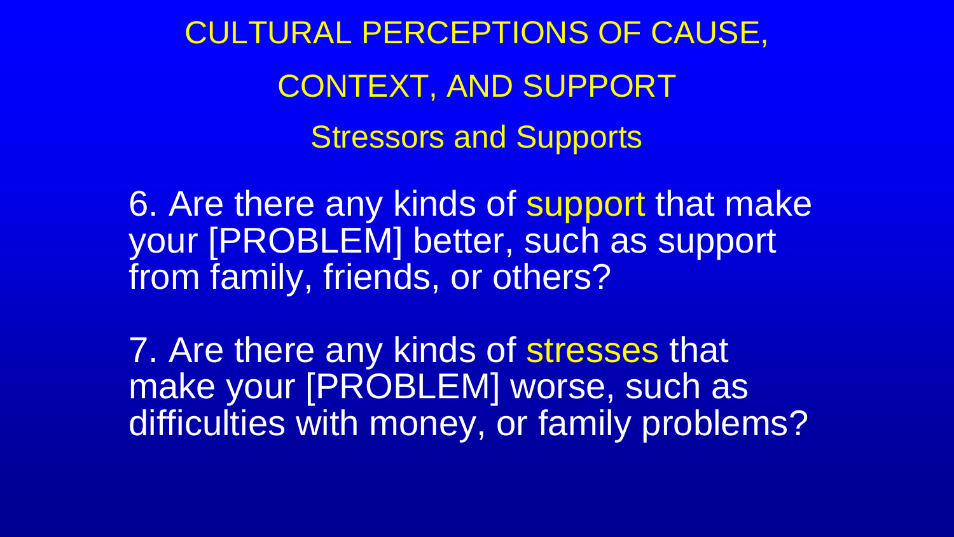CULTURAL PERCEPTIONS OF CAUSE, CONTEXT, AND SUPPORT Stressors and Supports

6. Are there any kinds of support that make your [PROBLEM] better, such as support from family, friends, or others?

7. Are there any kinds of stresses that make your [PROBLEM] worse, such as difficulties with money, or family problems?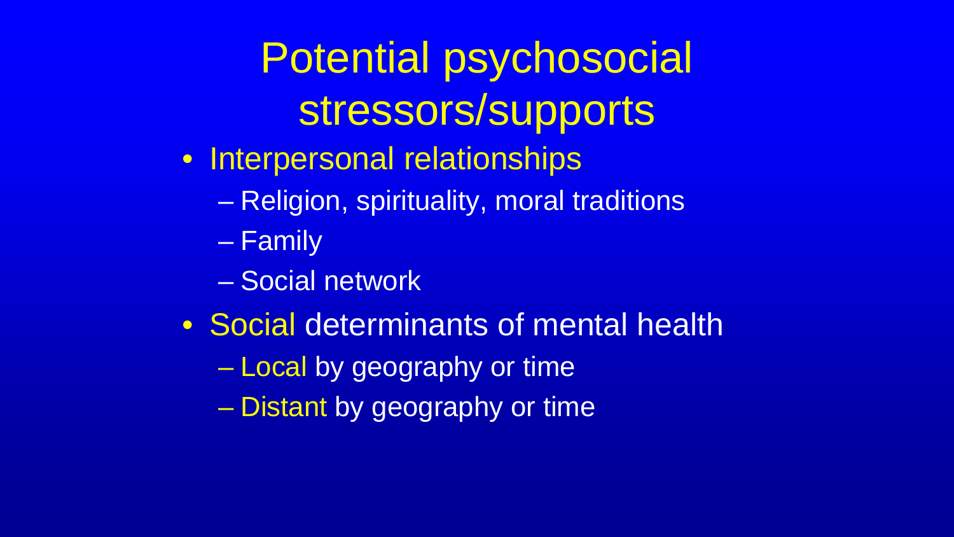# Potential psychosocial stressors/supports

- Interpersonal relationships
	- Religion, spirituality, moral traditions
	- Family
	- Social network
- Social determinants of mental health

– Local by geography or time

– Distant by geography or time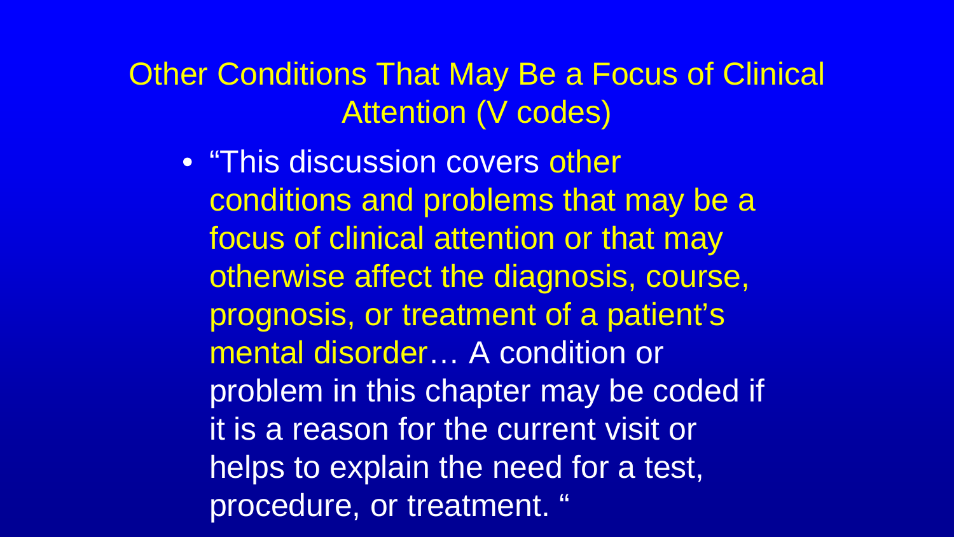Other Conditions That May Be a Focus of Clinical Attention (V codes)

• "This discussion covers other conditions and problems that may be a focus of clinical attention or that may otherwise affect the diagnosis, course, prognosis, or treatment of a patient's mental disorder… A condition or problem in this chapter may be coded if it is a reason for the current visit or helps to explain the need for a test, procedure, or treatment. "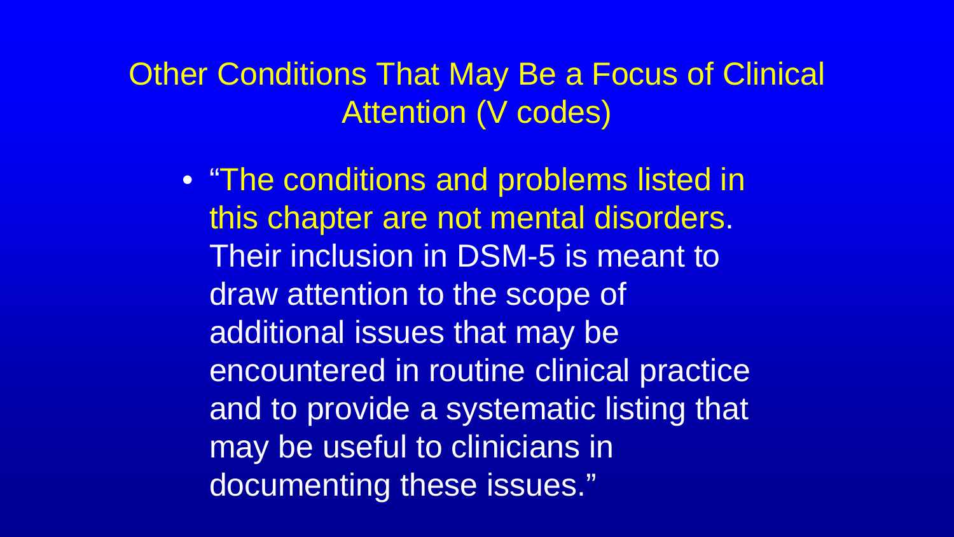Other Conditions That May Be a Focus of Clinical Attention (V codes)

• "The conditions and problems listed in this chapter are not mental disorders. Their inclusion in DSM-5 is meant to draw attention to the scope of additional issues that may be encountered in routine clinical practice and to provide a systematic listing that may be useful to clinicians in documenting these issues."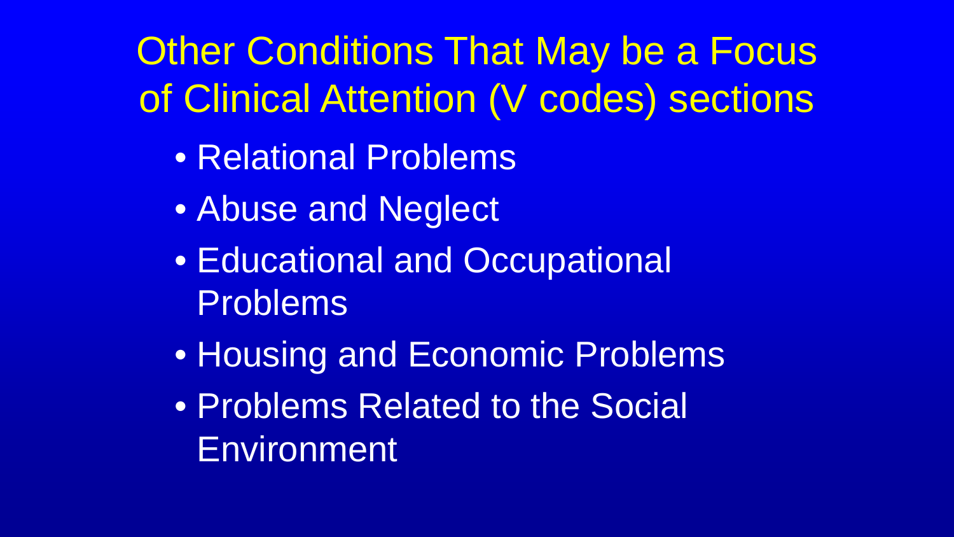Other Conditions That May be a Focus of Clinical Attention (V codes) sections

- Relational Problems
- Abuse and Neglect
- Educational and Occupational Problems
- Housing and Economic Problems
- Problems Related to the Social **Environment**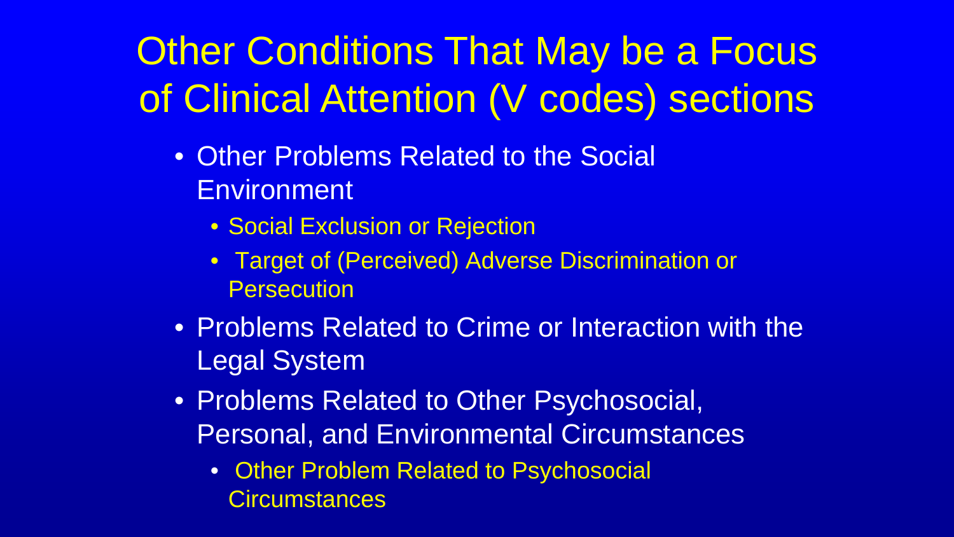# Other Conditions That May be a Focus of Clinical Attention (V codes) sections

- Other Problems Related to the Social Environment
	- Social Exclusion or Rejection
	- Target of (Perceived) Adverse Discrimination or **Persecution**
- Problems Related to Crime or Interaction with the Legal System
- Problems Related to Other Psychosocial, Personal, and Environmental Circumstances
	- Other Problem Related to Psychosocial **Circumstances**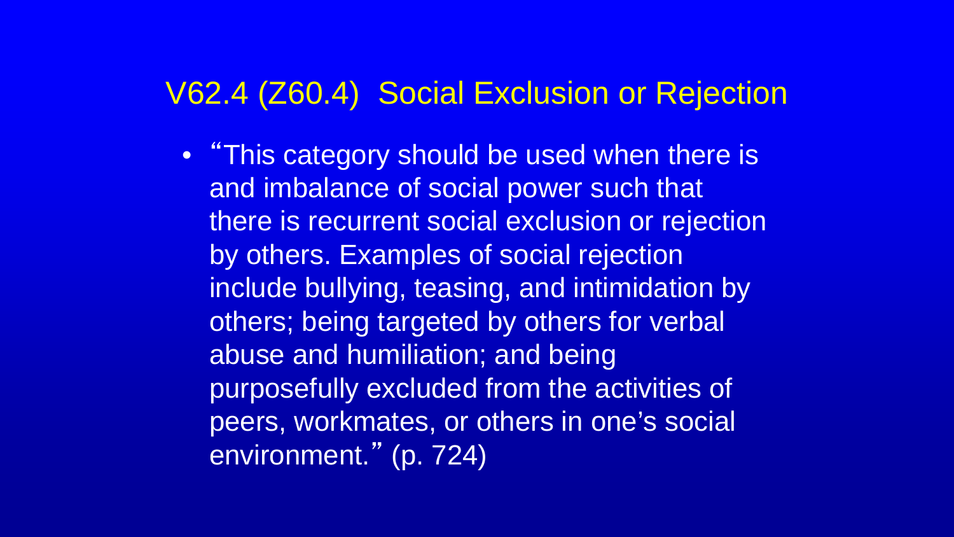### V62.4 (Z60.4) Social Exclusion or Rejection

• "This category should be used when there is and imbalance of social power such that there is recurrent social exclusion or rejection by others. Examples of social rejection include bullying, teasing, and intimidation by others; being targeted by others for verbal abuse and humiliation; and being purposefully excluded from the activities of peers, workmates, or others in one's social environment." (p. 724)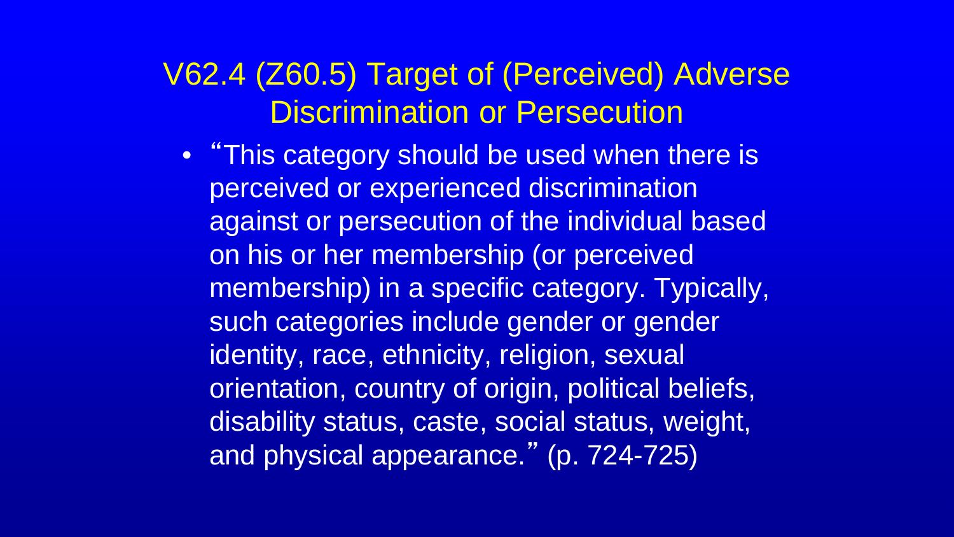### V62.4 (Z60.5) Target of (Perceived) Adverse Discrimination or Persecution

• "This category should be used when there is perceived or experienced discrimination against or persecution of the individual based on his or her membership (or perceived membership) in a specific category. Typically, such categories include gender or gender identity, race, ethnicity, religion, sexual orientation, country of origin, political beliefs, disability status, caste, social status, weight, and physical appearance." (p. 724-725)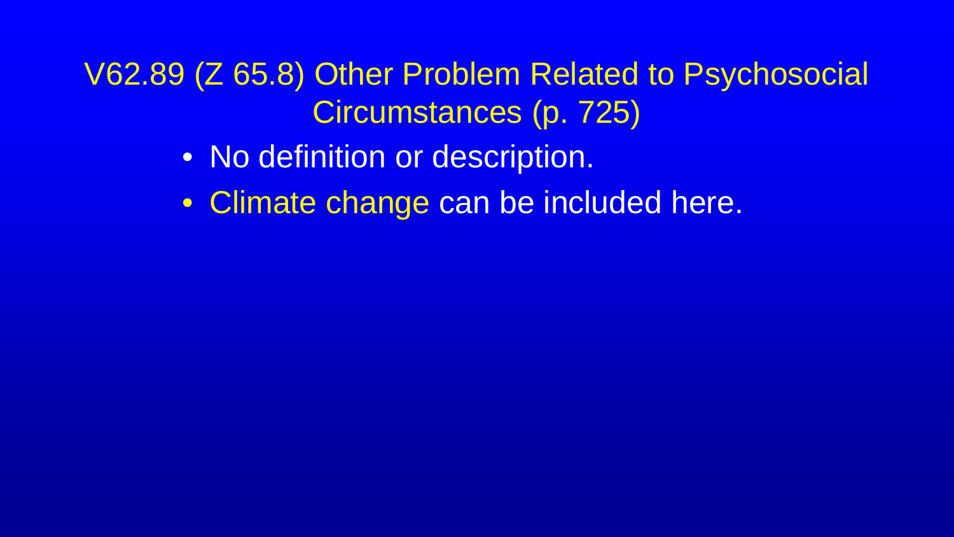V62.89 (Z 65.8) Other Problem Related to Psychosocial Circumstances (p. 725)

- No definition or description.
- Climate change can be included here.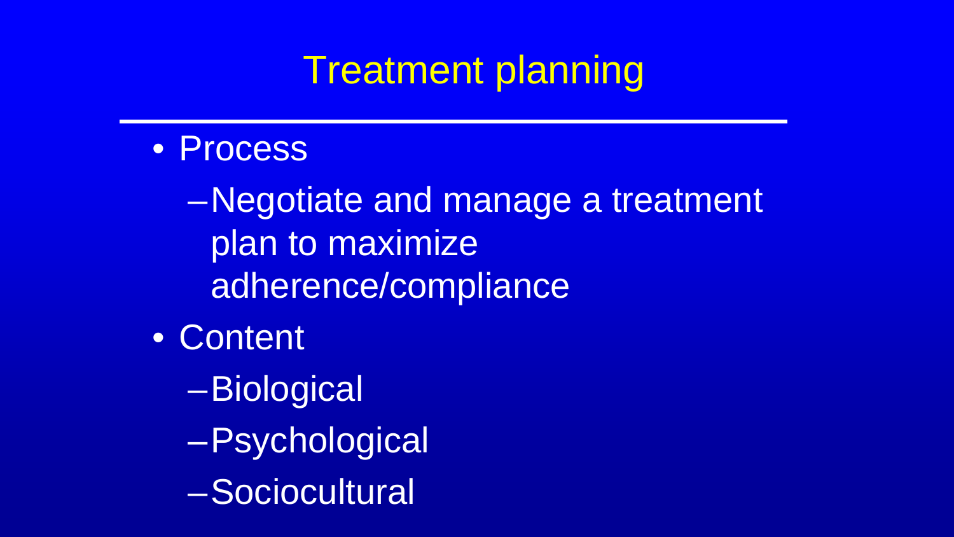### Treatment planning

• Process

–Negotiate and manage a treatment plan to maximize adherence/compliance

- Content
	- –Biological
	- –Psychological
	- –Sociocultural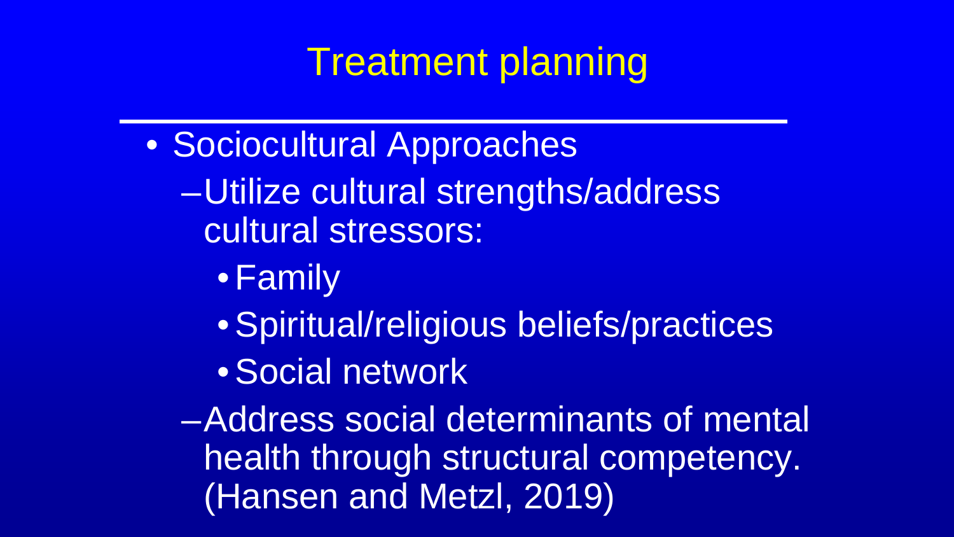## Treatment planning

- Sociocultural Approaches
	- –Utilize cultural strengths/address cultural stressors:
		- •Family
		- •Spiritual/religious beliefs/practices
		- •Social network

–Address social determinants of mental health through structural competency. (Hansen and Metzl, 2019)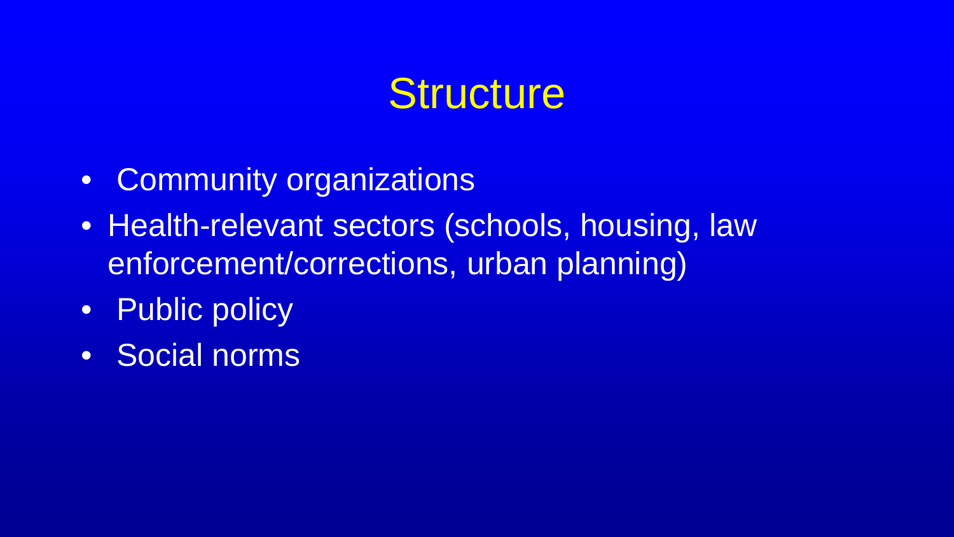### **Structure**

- Community organizations
- Health-relevant sectors (schools, housing, law enforcement/corrections, urban planning)
- Public policy
- Social norms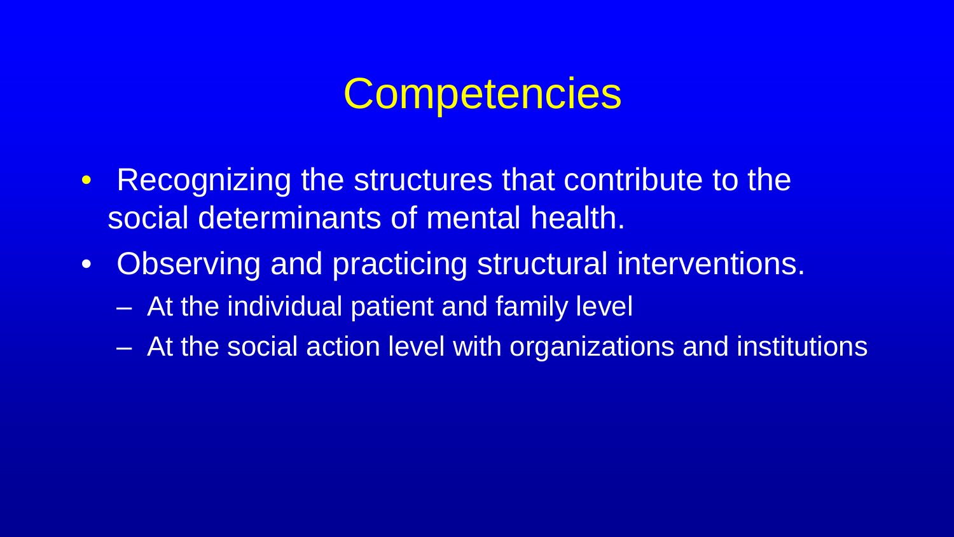## **Competencies**

- Recognizing the structures that contribute to the social determinants of mental health.
- Observing and practicing structural interventions.
	- At the individual patient and family level
	- At the social action level with organizations and institutions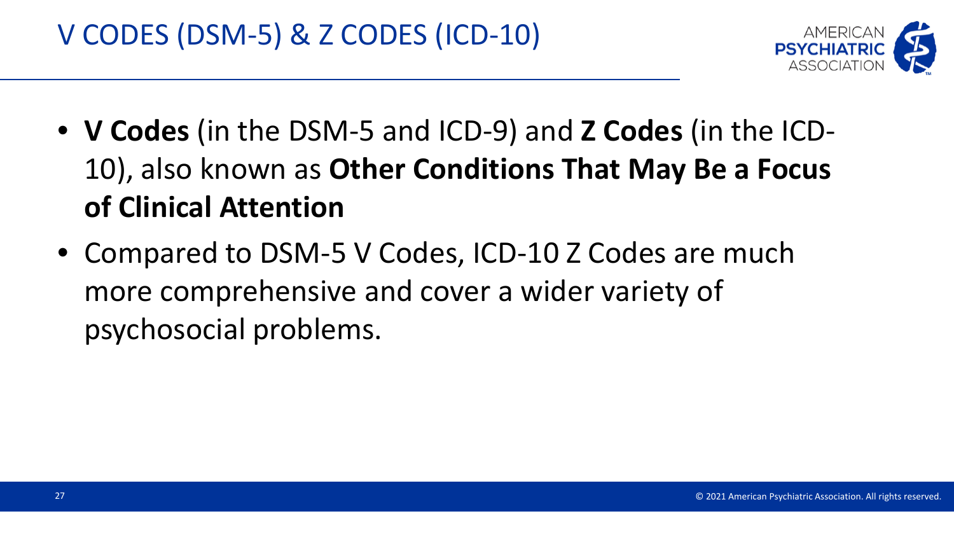

- **V Codes** (in the DSM-5 and ICD-9) and **Z Codes** (in the ICD-10), also known as **Other Conditions That May Be a Focus of Clinical Attention**
- Compared to DSM-5 V Codes, ICD-10 Z Codes are much more comprehensive and cover a wider variety of psychosocial problems.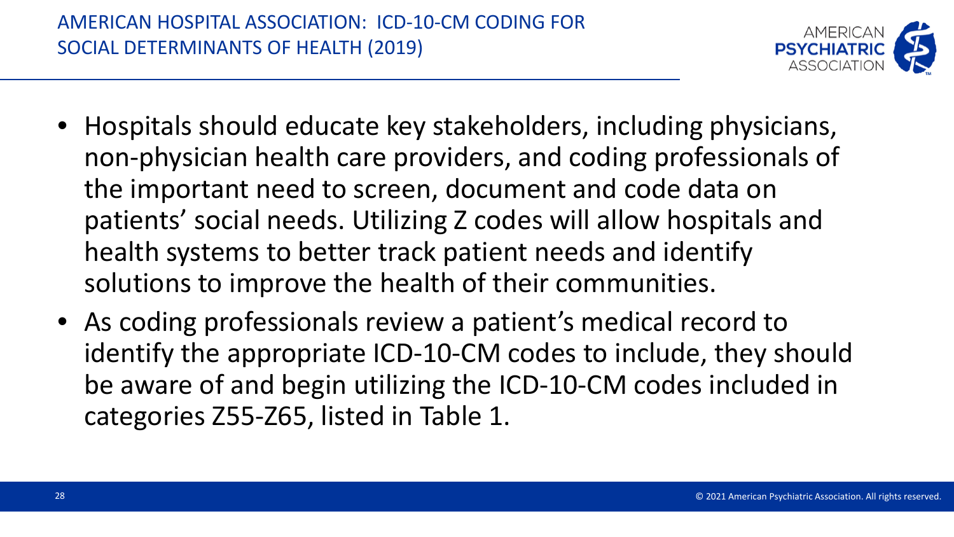

- Hospitals should educate key stakeholders, including physicians, non-physician health care providers, and coding professionals of the important need to screen, document and code data on patients' social needs. Utilizing Z codes will allow hospitals and health systems to better track patient needs and identify solutions to improve the health of their communities.
- As coding professionals review a patient's medical record to identify the appropriate ICD-10-CM codes to include, they should be aware of and begin utilizing the ICD-10-CM codes included in categories Z55-Z65, listed in Table 1.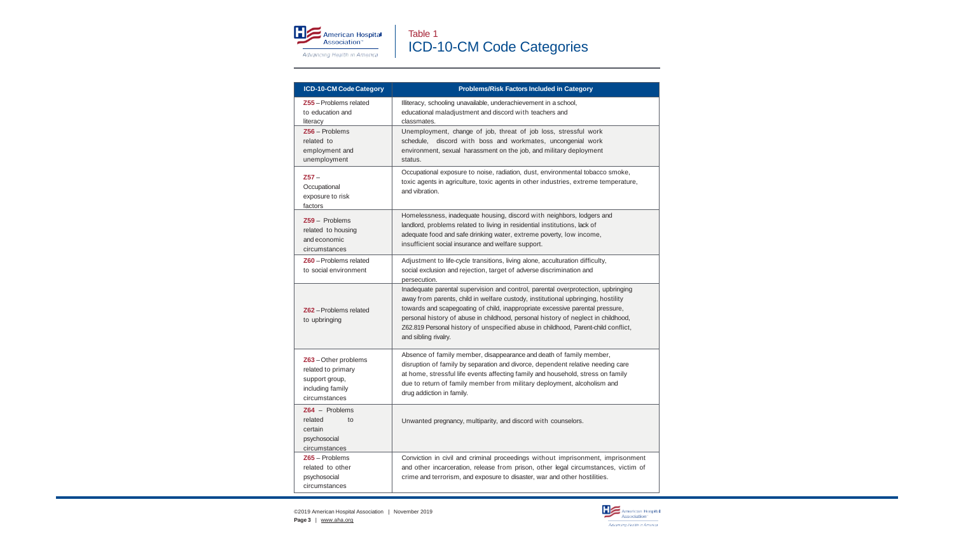

| ICD-10-CM Code Category                                                                         | Problems/Risk Factors Included in Category                                                                                                                                                                                                                                                                                                                                                                                                               |
|-------------------------------------------------------------------------------------------------|----------------------------------------------------------------------------------------------------------------------------------------------------------------------------------------------------------------------------------------------------------------------------------------------------------------------------------------------------------------------------------------------------------------------------------------------------------|
| Z55-Problems related<br>to education and<br>literacy                                            | Illiteracy, schooling unavailable, underachievement in a school,<br>educational maladjustment and discord with teachers and<br>classmates.                                                                                                                                                                                                                                                                                                               |
| $Z56 -$ Problems<br>related to<br>employment and<br>unemployment                                | Unemployment, change of job, threat of job loss, stressful work<br>schedule, discord with boss and workmates, uncongenial work<br>environment, sexual harassment on the job, and military deployment<br>status.                                                                                                                                                                                                                                          |
| $257 -$<br>Occupational<br>exposure to risk<br>factors                                          | Occupational exposure to noise, radiation, dust, environmental tobacco smoke,<br>toxic agents in agriculture, toxic agents in other industries, extreme temperature,<br>and vibration.                                                                                                                                                                                                                                                                   |
| $Z59 -$ Problems<br>related to housing<br>and economic<br>circumstances                         | Homelessness, inadequate housing, discord with neighbors, lodgers and<br>landlord, problems related to living in residential institutions, lack of<br>adequate food and safe drinking water, extreme poverty, low income,<br>insufficient social insurance and welfare support.                                                                                                                                                                          |
| Z60 - Problems related<br>to social environment                                                 | Adjustment to life-cycle transitions, living alone, acculturation difficulty,<br>social exclusion and rejection, target of adverse discrimination and<br>persecution.                                                                                                                                                                                                                                                                                    |
| Z62-Problems related<br>to upbringing                                                           | Inadequate parental supervision and control, parental overprotection, upbringing<br>away from parents, child in welfare custody, institutional upbringing, hostility<br>towards and scapegoating of child, inappropriate excessive parental pressure,<br>personal history of abuse in childhood, personal history of neglect in childhood,<br>Z62.819 Personal history of unspecified abuse in childhood, Parent-child conflict,<br>and sibling rivalry. |
| Z63-Other problems<br>related to primary<br>support group,<br>including family<br>circumstances | Absence of family member, disappearance and death of family member,<br>disruption of family by separation and divorce, dependent relative needing care<br>at home, stressful life events affecting family and household, stress on family<br>due to return of family member from military deployment, alcoholism and<br>drug addiction in family.                                                                                                        |
| $Z64 -$ Problems<br>related<br>$t_{\Omega}$<br>certain<br>psychosocial<br>circumstances         | Unwanted pregnancy, multiparity, and discord with counselors.                                                                                                                                                                                                                                                                                                                                                                                            |
| $Z65 -$ Problems<br>related to other<br>psychosocial<br>circumstances                           | Conviction in civil and criminal proceedings without imprisonment, imprisonment<br>and other incarceration, release from prison, other legal circumstances, victim of<br>crime and terrorism, and exposure to disaster, war and other hostilities.                                                                                                                                                                                                       |

©2019 American Hospital Association | November 2019 **Page 3** | [www.aha.org](http://www.aha.org/)

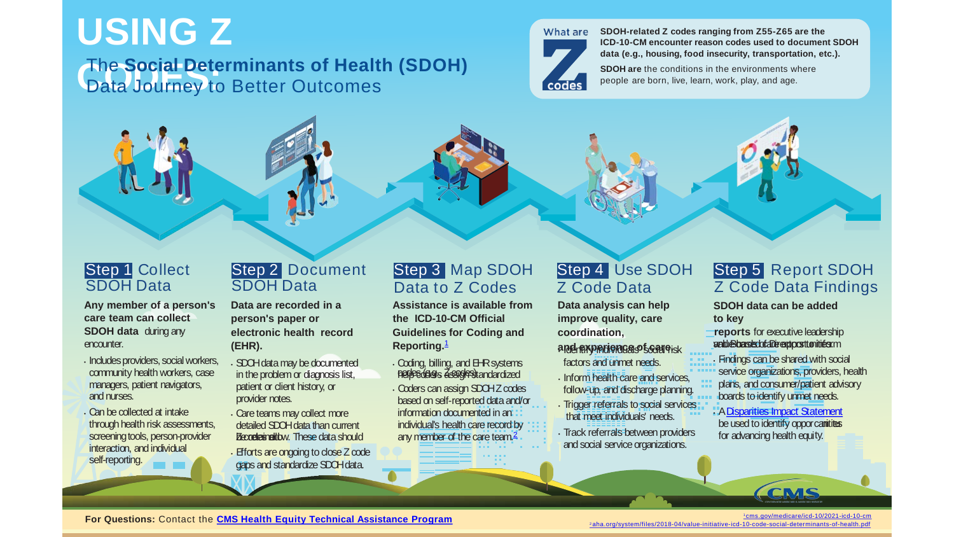### **USING Z**

#### **CODES:** The **Social Determinants of Health (SDOH)** Data Journey to Better Outcomes



**SDOH-related Z codes ranging from Z55-Z65 are the ICD-10-CM encounter reason codes used to document SDOH data (e.g., housing, food insecurity, transportation, etc.).**

**SDOH are** the conditions in the environments where people are born, live, learn, work, play, and age.



**Any member of a person's care team can collect SDOH data** during any encounter.

- Includes providers, social workers, community health workers, case managers, patient navigators, and nurses.
- Can becollected at intake through health risk assessments, screening tools, person-provider interaction, and individual self-reporting.

#### Step 2 Document SDOH Data

**Data are recorded in a person's paper or electronic health record (EHR).**

- SDOHdatamay bedocumented in the problem or diagnosis list, patient or client history, or provider notes.
- Careteams may collect more detailed SDOH data than current Becoreleinalthw These data should
- Efforts are ongoing to close Z code gaps and standardize SDOH data.

#### Step 3 Map SDOH Data to Z Codes

**Assistance is available from the ICD-10-CM Official Guidelines for Coding and Reporting.**[1](http://www.cms.gov/medicare/icd-10/2021-icd-10-cm)

 $\cdot$  Coding, billing, and  $B-R$  systems **hercedees Zeagrestandardized** • Coders can assign SDOHZ codes information documented in an individual's health care record by any member of the care team.<sup>[2](http://www.aha.org/system/files/2018-04/value-initiative-icd-10-code-social-determinants-of-health.pdf)</sup> based on self-reported dataand/or

#### Step 4 Use SDOH Z Code Data

**Data analysis can help improve quality, care coordination,**

**and experience of care.** • Identify individuals' social risk factors and unmet needs.

• Inform health care and services, follow-up, and discharge planning.

- **Trigger referrals to social services** that meet individuals' needs.
- Track referrals between providers and social service organizations.



**SDOH data can be added to key**

**reports** for executive leadership value Boarsed drawento catterintes. ca

**Findings can be shared with social** service organizations, providers, health plans, and consumer/patient advisory boards toidentify unmet needs.

be used to identify oppor cannities for advancing health equity. • A[Disparities](http://www.cms.gov/About-CMS/Agency-Information/OMH/Downloads/Disparities-Impact-Statement-508-rev102018.pdf) Impact St[atement](http://www.cms.gov/About-CMS/Agency-Information/OMH/Downloads/Disparities-Impact-Statement-508-rev102018.pdf)

<sup>1</sup> [cms.gov/medicare/icd-10/2021-icd-10-cm](http://www.cms.gov/medicare/icd-10/2021-icd-10-cm)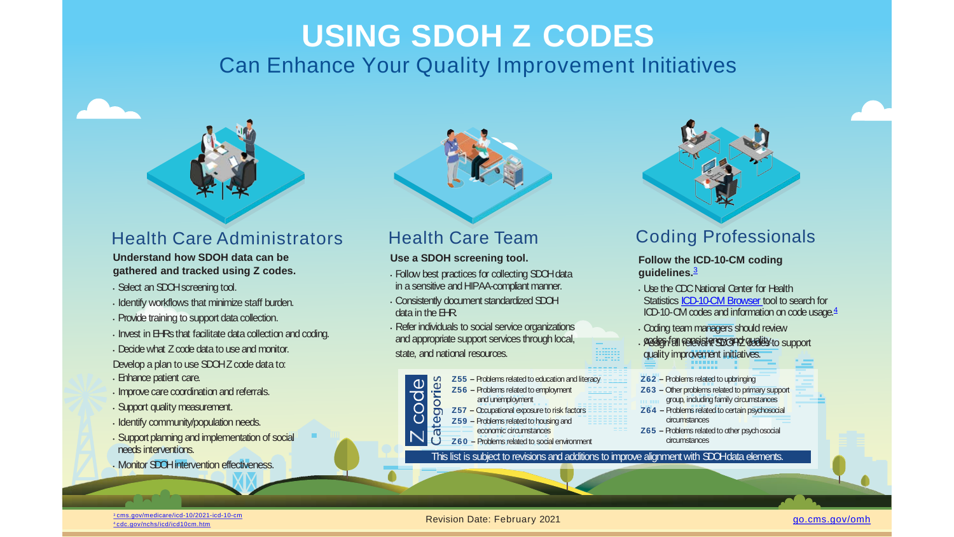### **USING SDOH Z CODES** Can Enhance Your Quality Improvement Initiatives



#### Health Care Administrators

**Understand how SDOH data can be gathered and tracked using Z codes.**

- Select anSDOHscreening tool.
- Identify workflows that minimize staff burden.
- Provide training to support data collection.
- $\cdot$  Invest in EHRs that facilitate data collection and coding.
- Decidewhat Zcodedata touseand monitor.

Develop a plan to use SDOHZ code data to:

- Enhance patient care.
- Improve care coordination and referrals.
- Support quality measurement.
- Identify community/population needs.
- Support planning and implementation of social needs interventions.
- Monitor SDOH intervention effectiveness.

### Health Care Team

#### **Use a SDOH screening tool.**

- Follow best practices for collecting SDOHdata in a sensitive and HIPAA-compliant manner.
- Consistently document standardized SDOH  $data$  in the  $HR$ .
- Refer individuals to social service organizations and appropriate support services through local, state, and national resources.



- **Z59** Problems related to housing and
- economic circumstances **Z60 –** Problems relatedto social environment

This list is subject to revisions and additions to improve alignment with SDOHdata elements.

### Coding Professionals

#### **Follow the ICD-10-CM coding guidelines.**[3](http://www.cms.gov/medicare/icd-10/2021-icd-10-cm)

- UsetheCDCNational Center for Health Statistics [ICD-10-CM](https://icd10cmtool.cdc.gov/) Browser tool to search for ICD-10-CM codes and information on code usage.<sup>[4](https://www.cdc.gov/nchs/icd/icd10cm.htm)</sup>
- Coding teammanagers should review
- · Pessign fall relevant SDOHZ dealers to support quality improvement initiatives.
- **Z62** Problems related to upbringing
- **Z63** Other problems related to primary support
- group, including family circumstances
- **Z64 –** Problems relatedto certainpsychosocial circumstances
- **Z65 –** Problems relatedto other psychosocial circumstances

Revision Date: February 2021 [go.cms.gov/omh](https://www.cms.gov/About-CMS/Agency-Information/OMH) <sup>3</sup> [cms.gov/medicare/icd-10/2021-icd-10-cm](https://www.cms.gov/medicare/icd-10/2021-icd-10-cm) <sup>4</sup> [cdc.gov/nchs/icd/icd10cm.htm](https://www.cdc.gov/nchs/icd/icd10cm.htm)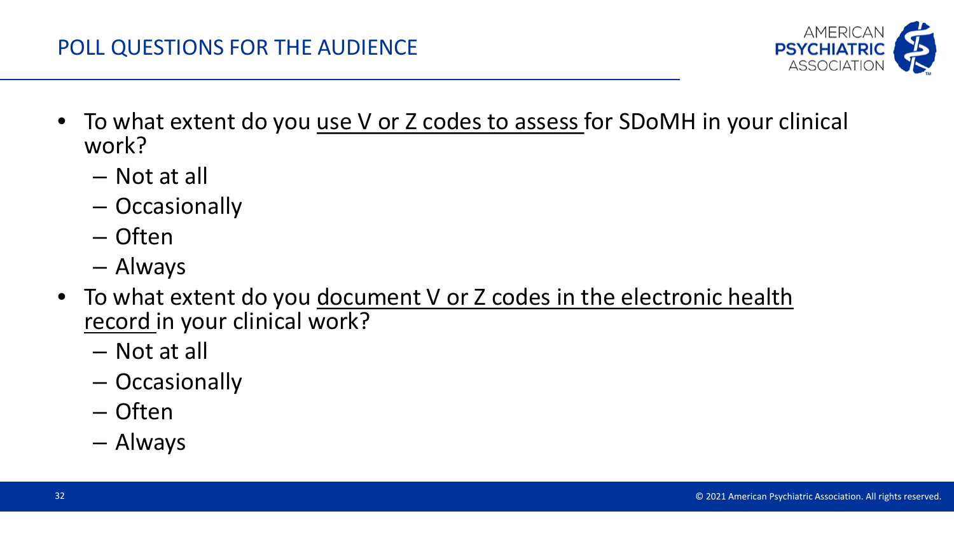#### POLL QUESTIONS FOR THE AUDIENCE

- To what extent do you use V or Z codes to assess for SDoMH in your clinical work?
	- Not at all
	- Occasionally
	- Often
	- Always
- To what extent do you document V or Z codes in the electronic health record in your clinical work?
	- Not at all
	- Occasionally
	- Often
	- Always